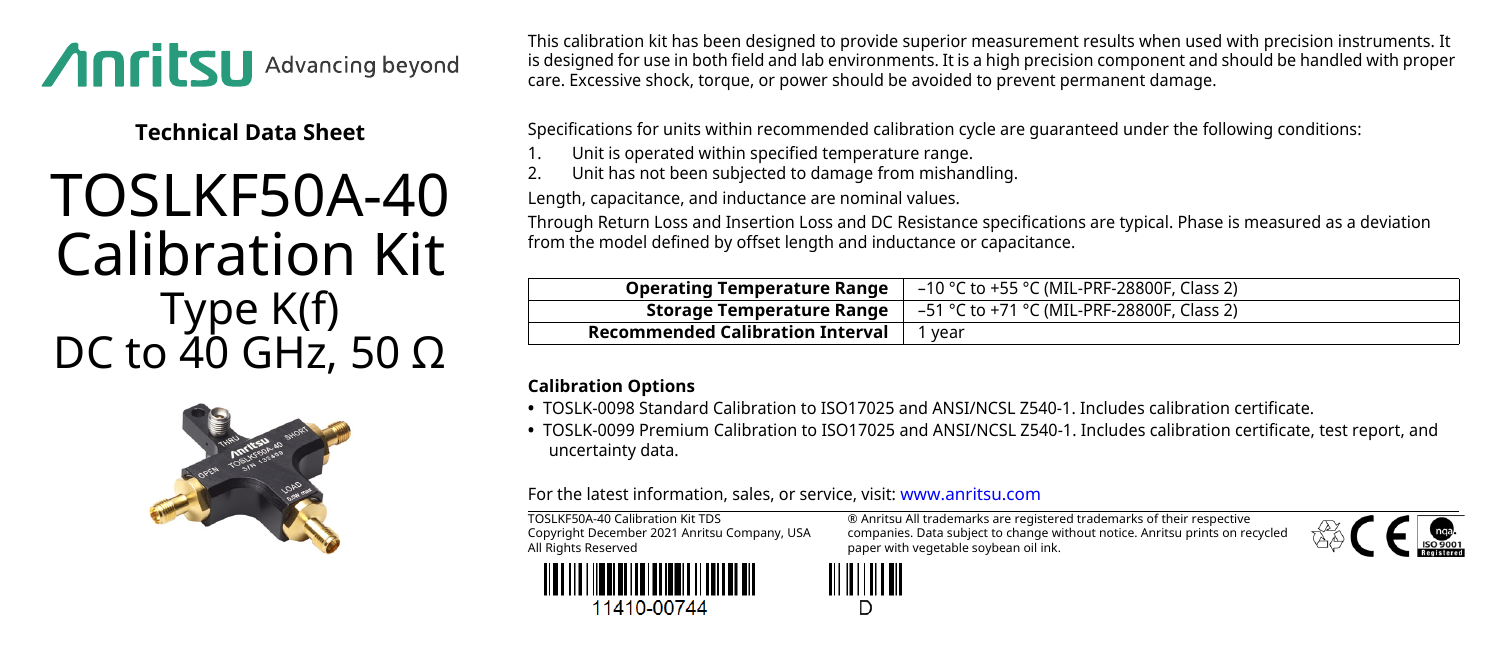

**Technical Data Sheet**

## TOSLKF50A-40 Calibration Kit Type K(f) DC to 40 GHz, 50 Ω



This calibration kit has been designed to provide superior measurement results when used with precision instruments. It is designed for use in both field and lab environments. It is a high precision component and should be handled with proper care. Excessive shock, torque, or power should be avoided to prevent permanent damage.

Specifications for units within recommended calibration cycle are guaranteed under the following conditions:

- 1. Unit is operated within specified temperature range.<br>2. Unit has not been subjected to damage from mishan
- 2. Unit has not been subjected to damage from mishandling.

Length, capacitance, and inductance are nominal values.

Through Return Loss and Insertion Loss and DC Resistance specifications are typical. Phase is measured as a deviation from the model defined by offset length and inductance or capacitance.

| <b>Operating Temperature Range</b>      | –10 °C to +55 °C (MIL-PRF-28800F, Class 2) |
|-----------------------------------------|--------------------------------------------|
| Storage Temperature Range               | –51 °C to +71 °C (MIL-PRF-28800F, Class 2) |
| <b>Recommended Calibration Interval</b> | vear                                       |

## **Calibration Options**

- **•** TOSLK-0098 Standard Calibration to ISO17025 and ANSI/NCSL Z540-1. Includes calibration certificate.
- **•** TOSLK-0099 Premium Calibration to ISO17025 and ANSI/NCSL Z540-1. Includes calibration certificate, test report, and uncertainty data.

For the latest information, sales, or service, visit: [www.anritsu.com](http://www.anritsu.com)

TOSLKF50A-40 Calibration Kit TDS Copyright December 2021 Anritsu Company, USA All Rights Reserved



companies. Data subject to change without notice. Anritsu prints on recycled paper with vegetable soybean oil ink.

® Anritsu All trademarks are registered trademarks of their respective